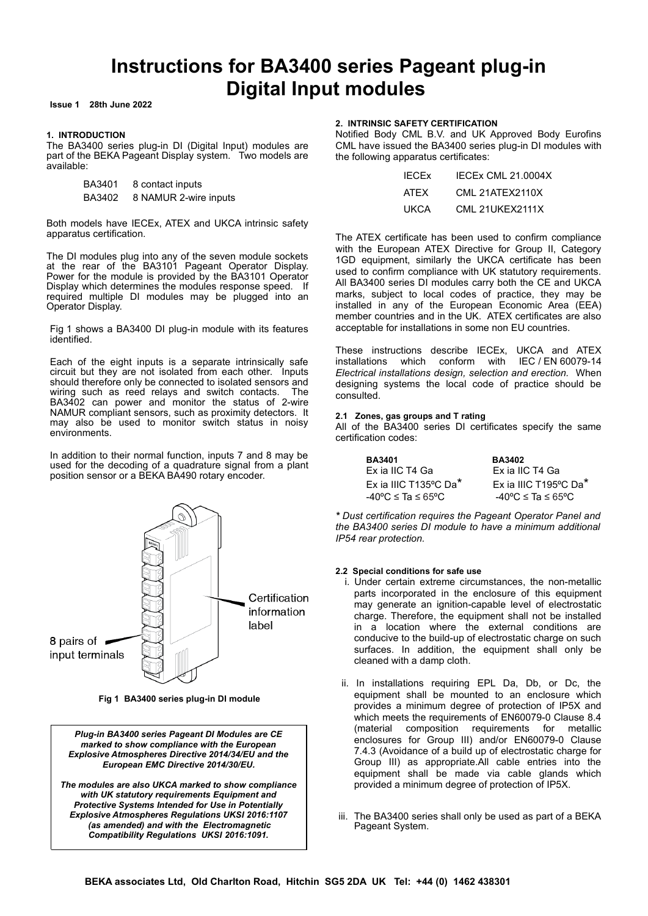# **Instructions for BA3400 series Pageant plug-in Digital Input modules**

**Issue 1 28th June 2022**

## **1. INTRODUCTION**

The BA3400 series plug-in DI (Digital Input) modules are part of the BEKA Pageant Display system. Two models are available:

| BA3401 | 8 contact inputs |                       |  |
|--------|------------------|-----------------------|--|
| BA3402 |                  | 8 NAMUR 2-wire inputs |  |

Both models have IECEx, ATEX and UKCA intrinsic safety apparatus certification.

The DI modules plug into any of the seven module sockets at the rear of the BA3101 Pageant Operator Display. Power for the module is provided by the BA3101 Operator Display which determines the modules response speed. If required multiple DI modules may be plugged into an Operator Display.

Fig 1 shows a BA3400 DI plug-in module with its features identified.

Each of the eight inputs is a separate intrinsically safe circuit but they are not isolated from each other. Inputs should therefore only be connected to isolated sensors and wiring such as reed relays and switch contacts. The BA3402 can power and monitor the status of 2-wire NAMUR compliant sensors, such as proximity detectors. It may also be used to monitor switch status in noisy environments.

In addition to their normal function, inputs 7 and 8 may be used for the decoding of a quadrature signal from a plant position sensor or a BEKA BA490 rotary encoder.



**Fig 1 BA3400 series plug-in DI module**

*Plug-in BA3400 series Pageant DI Modules are CE marked to show compliance with the European Explosive Atmospheres Directive 2014/34/EU and the European EMC Directive 2014/30/EU.* 

*The modules are also UKCA marked to show compliance with UK statutory requirements Equipment and Protective Systems Intended for Use in Potentially Explosive Atmospheres Regulations UKSI 2016:1107 (as amended) and with the Electromagnetic Compatibility Regulations UKSI 2016:1091.*

# **2. INTRINSIC SAFETY CERTIFICATION**

Notified Body CML B.V. and UK Approved Body Eurofins CML have issued the BA3400 series plug-in DI modules with the following apparatus certificates:

| <b>IECEX</b> | IFCFx CMI 21.0004X |
|--------------|--------------------|
| <b>ATFX</b>  | CMI 21ATFX2110X    |
| UKCA         | CMI 21UKFX2111X    |

The ATEX certificate has been used to confirm compliance with the European ATEX Directive for Group II, Category 1GD equipment, similarly the UKCA certificate has been used to confirm compliance with UK statutory requirements. All BA3400 series DI modules carry both the CE and UKCA marks, subject to local codes of practice, they may be installed in any of the European Economic Area (EEA) member countries and in the UK. ATEX certificates are also acceptable for installations in some non EU countries.

These instructions describe IECEx, UKCA and ATEX installations which conform with IEC / EN 60079-14 *Electrical installations design, selection and erection.* When designing systems the local code of practice should be consulted.

# **2.1 Zones, gas groups and T rating**

All of the BA3400 series DI certificates specify the same certification codes:

| <b>BA3401</b>                          | <b>BA3402</b>                          |
|----------------------------------------|----------------------------------------|
| Ex ia IIC T4 Ga                        | Ex ia IIC T4 Ga                        |
| $Fx$ ia IIIC T135°C Da <sup>*</sup>    | Ex ia IIIC T195°C Da*                  |
| $-40^{\circ}$ C $\leq$ Ta $\leq$ 65°C. | $-40^{\circ}$ C $\leq$ Ta $\leq$ 65°C. |

*\* Dust certification requires the Pageant Operator Panel and the BA3400 series DI module to have a minimum additional IP54 rear protection.*

## **2.2 Special conditions for safe use**

- i. Under certain extreme circumstances, the non-metallic parts incorporated in the enclosure of this equipment may generate an ignition-capable level of electrostatic charge. Therefore, the equipment shall not be installed in a location where the external conditions are conducive to the build-up of electrostatic charge on such surfaces. In addition, the equipment shall only be cleaned with a damp cloth.
- ii. In installations requiring EPL Da, Db, or Dc, the equipment shall be mounted to an enclosure which provides a minimum degree of protection of IP5X and which meets the requirements of EN60079-0 Clause 8.4 (material composition requirements for metallic enclosures for Group III) and/or EN60079-0 Clause 7.4.3 (Avoidance of a build up of electrostatic charge for Group III) as appropriate.All cable entries into the equipment shall be made via cable glands which provided a minimum degree of protection of IP5X.
- iii. The BA3400 series shall only be used as part of a BEKA Pageant System.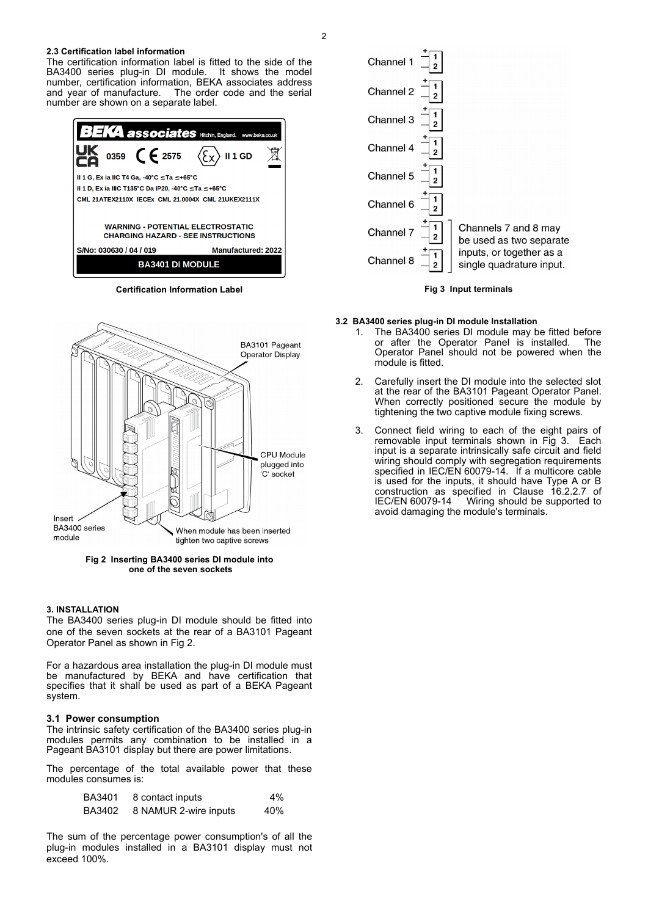### **2.3 Certification label information**

The certification information label is fitted to the side of the BA3400 series plug-in DI module. It shows the model number, certification information, BEKA associates address<br>and year of manufacture. The order code and the serial The order code and the serial number are shown on a separate label.



**Certification Information Label**



**Fig 2 Inserting BA3400 series DI module into one of the seven sockets**

## **3. INSTALLATION**

The BA3400 series plug-in DI module should be fitted into one of the seven sockets at the rear of a BA3101 Pageant Operator Panel as shown in Fig 2.

For a hazardous area installation the plug-in DI module must be manufactured by BEKA and have certification that specifies that it shall be used as part of a BEKA Pageant system.

# **3.1 Power consumption**

The intrinsic safety certification of the BA3400 series plug-in modules permits any combination to be installed in a Pageant BA3101 display but there are power limitations.

The percentage of the total available power that these modules consumes is:

| BA3401 | 8 contact inputs      | $4\%$ |
|--------|-----------------------|-------|
| BA3402 | 8 NAMUR 2-wire inputs | 40%   |

The sum of the percentage power consumption's of all the plug-in modules installed in a BA3101 display must not exceed 100%.





### **3.2 BA3400 series plug-in DI module Installation**

- 1. The BA3400 series DI module may be fitted before or after the Operator Panel is installed. The Operator Panel should not be powered when the module is fitted.
- 2. Carefully insert the DI module into the selected slot at the rear of the BA3101 Pageant Operator Panel. When correctly positioned secure the module by tightening the two captive module fixing screws.
- 3. Connect field wiring to each of the eight pairs of removable input terminals shown in Fig 3. Each input is a separate intrinsically safe circuit and field wiring should comply with segregation requirements specified in IEC/EN 60079-14. If a multicore cable is used for the inputs, it should have Type A or B construction as specified in Clause 16.2.2.7 of IEC/EN 60079-14 Wiring should be supported to avoid damaging the module's terminals.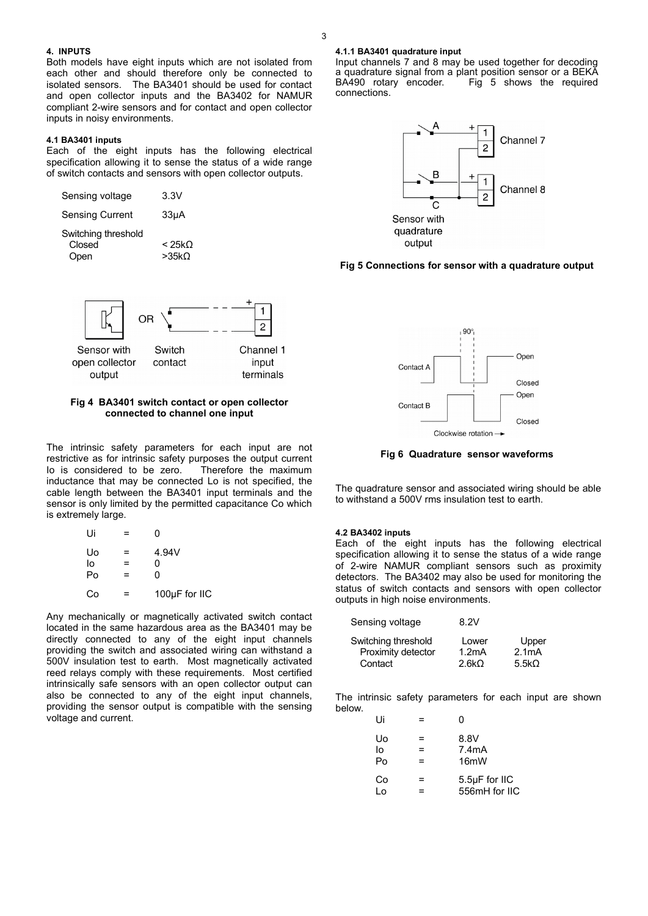## **4. INPUTS**

Both models have eight inputs which are not isolated from each other and should therefore only be connected to isolated sensors. The BA3401 should be used for contact and open collector inputs and the BA3402 for NAMUR compliant 2-wire sensors and for contact and open collector inputs in noisy environments.

## **4.1 BA3401 inputs**

Each of the eight inputs has the following electrical specification allowing it to sense the status of a wide range of switch contacts and sensors with open collector outputs.

| Sensing voltage                       | 3.3V                      |
|---------------------------------------|---------------------------|
| <b>Sensing Current</b>                | 33 <sub>µ</sub> A         |
| Switching threshold<br>Closed<br>Open | $<$ 25k $\Omega$<br>>35kO |



# **Fig 4 BA3401 switch contact or open collector connected to channel one input**

The intrinsic safety parameters for each input are not restrictive as for intrinsic safety purposes the output current Io is considered to be zero. Therefore the maximum inductance that may be connected Lo is not specified, the cable length between the BA3401 input terminals and the sensor is only limited by the permitted capacitance Co which is extremely large.

| Ui |   | N             |
|----|---|---------------|
| Uo | ⋍ | 4.94V         |
| lo | = | ი             |
| Po | = | n             |
| Co | ⋍ | 100µF for IIC |

Any mechanically or magnetically activated switch contact located in the same hazardous area as the BA3401 may be directly connected to any of the eight input channels providing the switch and associated wiring can withstand a 500V insulation test to earth. Most magnetically activated reed relays comply with these requirements. Most certified intrinsically safe sensors with an open collector output can also be connected to any of the eight input channels, providing the sensor output is compatible with the sensing voltage and current.

## **4.1.1 BA3401 quadrature input**

Input channels 7 and 8 may be used together for decoding a quadrature signal from a plant position sensor or a BEKA  $Fig. 5$  shows the required connections.



# **Fig 5 Connections for sensor with a quadrature output**



**Fig 6 Quadrature sensor waveforms**

The quadrature sensor and associated wiring should be able to withstand a 500V rms insulation test to earth.

## **4.2 BA3402 inputs**

Each of the eight inputs has the following electrical specification allowing it to sense the status of a wide range of 2-wire NAMUR compliant sensors such as proximity detectors. The BA3402 may also be used for monitoring the status of switch contacts and sensors with open collector outputs in high noise environments.

| Sensing voltage     | 8.2V               |               |
|---------------------|--------------------|---------------|
| Switching threshold | Lower              | Upper         |
| Proximity detector  | 1.2 <sub>m</sub> A | 2.1mA         |
| Contact             | 2.6kO              | 5.5 $k\Omega$ |

The intrinsic safety parameters for each input are shown below.

| Ui             |   | ი                                  |
|----------------|---|------------------------------------|
| Uo<br>l٥<br>Po | = | 8.8V<br>7.4mA<br>16 <sub>m</sub> W |
| Co<br>۱o.      | = | 5.5µF for IIC<br>556mH for IIC     |